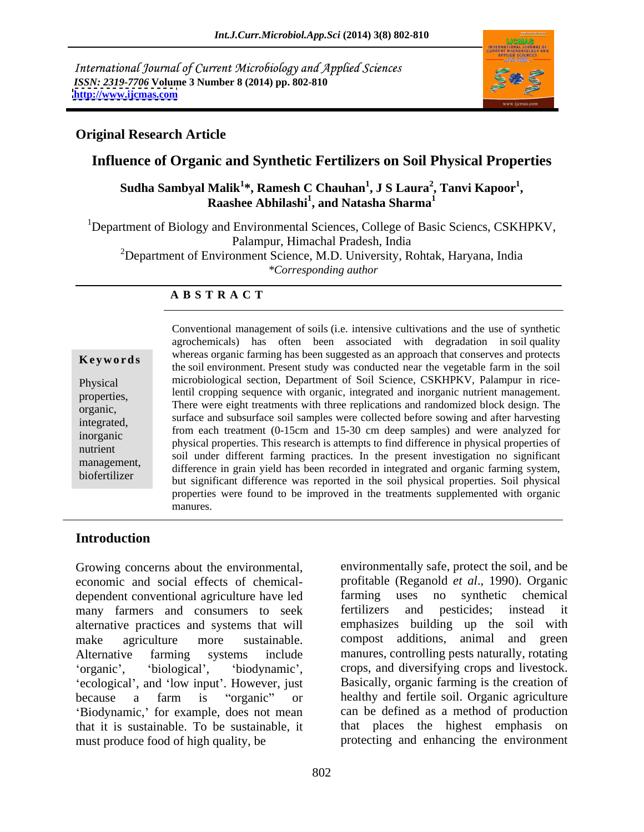International Journal of Current Microbiology and Applied Sciences *ISSN: 2319-7706* **Volume 3 Number 8 (2014) pp. 802-810 <http://www.ijcmas.com>**



## **Original Research Article**

# **Influence of Organic and Synthetic Fertilizers on Soil Physical Properties**

**Sudha Sambyal Malik<sup>1</sup> \*, Ramesh C Chauhan<sup>1</sup> , J S Laura<sup>2</sup> , Tanvi Kapoor<sup>1</sup>** Raashee Abhilashi<sup>1</sup>, and Natasha Sharma<sup>1</sup> **, and Natasha Sharma<sup>1</sup>**

<sup>1</sup>Department of Biology and Environmental Sciences, College of Basic Sciencs, CSKHPKV, Palampur, Himachal Pradesh, India <sup>2</sup>Department of Environment Science, M.D. University, Rohtak, Haryana, India *\*Corresponding author* 

## **A B S T R A C T**

**Keywords**<br>
the soil environment. Present study was conducted near the vegetable farm in the soil Physical microbiological section, Department of Soil Science, CSKHPKV, Palampur in riceproperties, lentil cropping sequence with organic, integrated and inorganic nutrient management. There were eight treatments with three replications and randomized block design. The organic, integrated, surface and subsurface soil samples were collected before sowing and after harvesting  $(0.15 \times 20^{-1} + 1.5 \times 20^{-1})$ inorganic in the matrice in the matrice of physical properties. This research is attempts to find difference in physical properties of nutrient physical properties. This research is attempts to find untercrite in physical properties of<br>soil under different farming practices. In the present investigation no significant management,<br>difference in grain yield has been recorded in integrated and organic farming system, biofertilizer<br>but significant difference was reported in the soil physical properties. Soil physical Conventional management of soils (i.e. intensive cultivations and the use of synthetic agrochemicals) has often been associated with degradation in soil quality whereas organic farming has been suggested as an approach that conserves and protects from each treatment (0-15cm and 15-30 cm deep samples) and were analyzed for properties were found to be improved in the treatments supplemented with organic manures.

## **Introduction**

Growing concerns about the environmental, environmentally safe, protect the soil, and be economic and social effects of chemical-<br>dependent conventional agriculture have led farming uses no synthetic chemical dependent conventional agriculture have led many farmers and consumers to seek alternative practices and systems that will make agriculture more sustainable. compost additions, animal and green Alternative farming systems include manures, controlling pests naturally, rotating 'ecological', and 'low input'. However, just because a farm is "organic" or healthy and fertile soil. Organic agriculture 'Biodynamic,' for example, does not mean that it is sustainable. To be sustainable, it must produce food of high quality, be protecting and enhancing the environment

organic', 'biological', 'biodynamic', crops, and diversifying crops and livestock. profitable (Reganold *et al*., 1990). Organic farming uses no synthetic chemical and pesticides; instead it emphasizes building up the soil with Basically, organic farming is the creation of can be defined as a method of production that places the highest emphasis on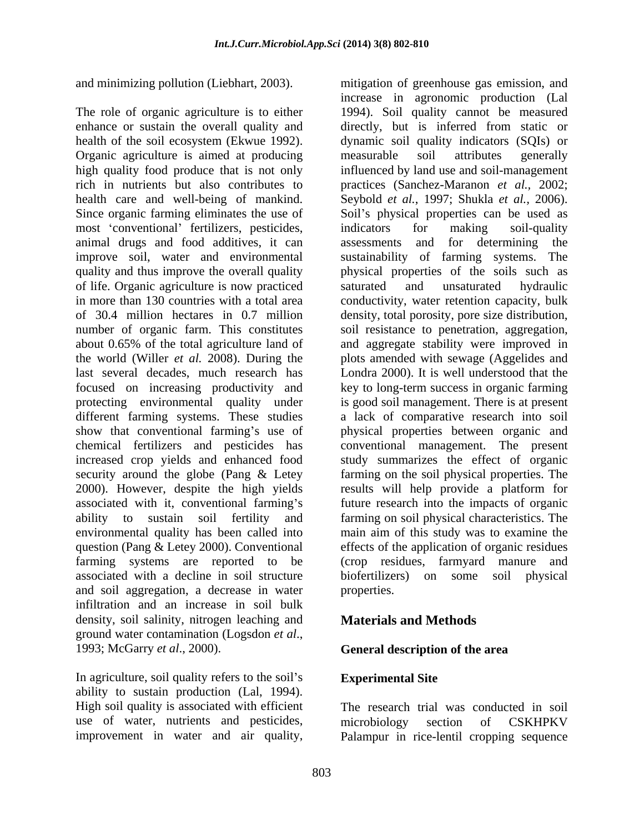and minimizing pollution (Liebhart, 2003). The mitigation of greenhouse gas emission, and

The role of organic agriculture is to either health of the soil ecosystem (Ekwue 1992). Organic agriculture is aimed at producing measurable soil attributes generally health care and well-being of mankind. Seybold *et al.*, 1997; Shukla *et al.*, 2006). Since organic farming eliminates the use of Soil's physical properties can be used as most 'conventional' fertilizers, pesticides, indicators for making soil-quality quality and thus improve the overall quality of life. Organic agriculture is now practiced last several decades, much research has show that conventional farming's use of increased crop yields and enhanced food and soil aggregation, a decrease in water infiltration and an increase in soil bulk density, soil salinity, nitrogen leaching and ground water contamination (Logsdon *et al*., 1993; McGarry *et al*., 2000). **General description of the area** and minimizing pollution itishbar, contains is either a greenhouse gas emission, and the of organic spiral (150 to the discussion of greenhouse gas emission, and a state of greenhouse is a method of greenhouse gas emissio

In agriculture, soil quality refers to the soil's Experimental Site ability to sustain production (Lal, 1994). High soil quality is associated with efficient use of water, nutrients and pesticides, microbiology section of CSKHPKV

enhance or sustain the overall quality and directly, but is inferred from static or high quality food produce that is not only influenced by land use and soil-management rich in nutrients but also contributes to practices (Sanchez-Maranon *et al.,* 2002; animal drugs and food additives, it can assessments and for determining the improve soil, water and environmental sustainability of farming systems. The in more than 130 countries with a total area conductivity, water retention capacity, bulk of 30.4 million hectares in 0.7 million density, total porosity, pore size distribution, number of organic farm. This constitutes soil resistance to penetration, aggregation, about 0.65% of the total agriculture land of and aggregate stability were improved in the world (Willer *et al.* 2008). During the plots amended with sewage (Aggelides and focused on increasing productivity and key to long-term success in organic farming protecting environmental quality under is good soil management. There is at present different farming systems. These studies a lack of comparative research into soil chemical fertilizers and pesticides has conventional management. The present security around the globe (Pang & Letey farming on the soil physical properties. The 2000). However, despite the high yields results will help provide a platform for associated with it, conventional farming's future research into the impacts of organic ability to sustain soil fertility and farming on soil physical characteristics. The environmental quality has been called into main aim of this study was to examine the question (Pang & Letey 2000). Conventional effects of the application of organic residues farming systems are reported to be (crop residues, farmyard manure and associated with a decline in soil structure biofertilizers) on some soil physical increase in agronomic production (Lal 1994). Soil quality cannot be measured dynamic soil quality indicators (SQIs) or measurable soil attributes generally Seybold *et al.*, 1997; Shukla *et al.*, 2006).<br>Soil's physical properties can be used as indicators for making soil-quality physical properties of the soils such as saturated and unsaturated hydraulic Londra 2000). It is well understood that the physical properties between organic and study summarizes the effect of organic properties.

## **Materials and Methods**

## **Experimental Site**

The research trial was conducted in soil microbiology section of CSKHPKV Palampur in rice-lentil cropping sequence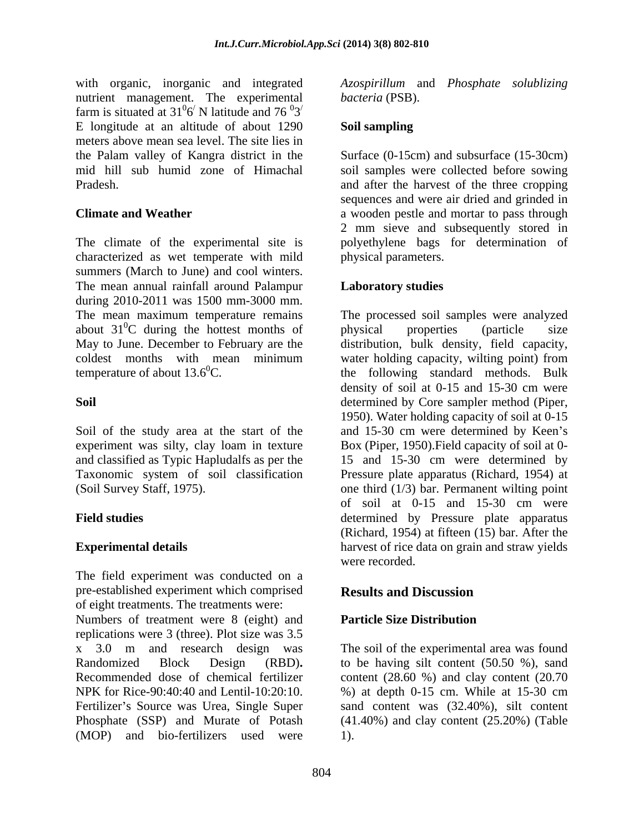nutrient management. The experimental farm is situated at 31 $\frac{0}{6}$  N latitude and 76  $\frac{0}{3}$  $6'$  N latitude and  $76'3'$  $\sqrt{N}$  latitude and 76  $\frac{0.03}{100}$  $\sim 0$  $3<sup>′</sup>$  $/$ E longitude at an altitude of about 1290 meters above mean sea level. The site lies in

characterized as wet temperate with mild summers (March to June) and cool winters. The mean annual rainfall around Palampur<br>
Laboratory studies during 2010-2011 was 1500 mm-3000 mm.

Soil of the study area at the start of the

The field experiment was conducted on a pre-established experiment which comprised of eight treatments. The treatments were:

Numbers of treatment were 8 (eight) and **Particle Size Distribution** replications were 3 (three). Plot size was 3.5 x 3.0 m and research design was The soil of the experimental area wasfound Randomized Block Design (RBD)**.** to be having silt content (50.50 %), sand Recommended dose of chemical fertilizer content (28.60 %) and clay content (20.70 NPK for Rice-90:40:40 and Lentil-10:20:10. %) at depth 0-15 cm. While at 15-30 cm Fertilizer's Source was Urea, Single Super Phosphate (SSP) and Murate of Potash (41.40%) and clay content (25.20%) (Table (MOP) and bio-fertilizers used were

with organic, inorganic and integrated *Azospirillum* and *Phosphate solublizing bacteria* (PSB).

## **Soil sampling**

the Palam valley of Kangra district in the Surface (0-15cm) and subsurface (15-30cm) mid hill sub humid zone of Himachal soil samples were collected before sowing Pradesh. and after the harvest of the three cropping **Climate and Weather a** wooden pestle and mortar to pass through The climate of the experimental site is polyethylene bags for determination of sequences and were air dried and grinded in 2 mm sieve and subsequently stored in physical parameters.

## **Laboratory studies**

The mean maximum temperature remains The processed soil samples were analyzed about  $31^{\circ}$ C during the hottest months of physical properties (particle size May to June. December to February are the distribution, bulk density, field capacity, coldest months with mean minimum water holding capacity, wilting point) from temperature of about  $13.6^{\circ}$ C. the following standard methods. Bulk **Soil** determined by Core sampler method (Piper, experiment was silty, clay loam in texture Box (Piper, 1950).Field capacity of soil at 0 and classified as Typic Hapludalfs as per the 15 and 15-30 cm were determined by Taxonomic system of soil classification Pressure plate apparatus (Richard, 1954) at (Soil Survey Staff, 1975). one third (1/3) bar. Permanent wilting point **Field studies** determined by Pressure plate apparatus **Experimental details harvest of rice data on grain and straw yields** physical properties (particle size density of soil at 0-15 and 15-30 cm were 1950). Water holding capacity of soil at 0-15 and 15-30 cm were determined by Keen's of soil at 0-15 and 15-30 cm were (Richard, 1954) at fifteen (15) bar. After the were recorded.

# **Results and Discussion**

## **Particle Size Distribution**

sand content was (32.40%), silt content 1).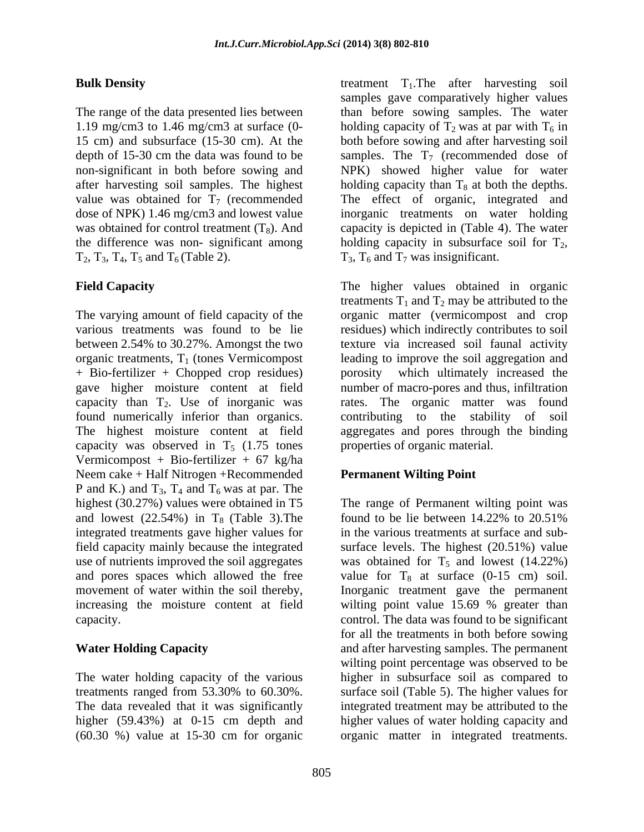the difference was non- significant among bolding capacity in subsurface soil for  $T_2$ ,  $T_2$ ,  $T_3$ ,  $T_4$ ,  $T_5$  and  $T_6$  (Table 2).  $T_3$ ,  $T_6$  and  $T_7$  was insignificant.

+ Bio-fertilizer + Chopped crop residues) gave higher moisture content at field capacity was observed in  $T<sub>5</sub>$  (1.75 tones Vermicompost + Bio-fertilizer + 67 kg/ha Neem cake + Half Nitrogen +Recommended P and K.) and  $T_3$ ,  $T_4$  and  $T_6$  was at par. The highest (30.27%) values were obtained in T5 and lowest  $(22.54\%)$  in T<sub>8</sub> (Table 3). The found to be lie between 14.22% to 20.51% integrated treatments gave higher values for

higher (59.43%) at 0-15 cm depth and (60.30 %) value at 15-30 cm for organic organic matter in integrated treatments.

**Bulk Density EXECUTE:** treatment T<sub>1</sub>. The after harvesting soil The range of the data presented lies between than before sowing samples. The water 1.19 mg/cm3 to 1.46 mg/cm3 at surface (0-<br>holding capacity of  $T_2$  was at par with  $T_6$  in 15 cm) and subsurface (15-30 cm). At the both before sowing and after harvesting soil depth of 15-30 cm the data was found to be samples. The  $T_7$  (recommended dose of non-significant in both before sowing and NPK) showed higher value for water after harvesting soil samples. The highest bolding capacity than  $T_8$  at both the depths. value was obtained for  $T_7$  (recommended The effect of organic, integrated and dose of NPK) 1.46 mg/cm3 and lowest value inorganic treatments on water holding was obtained for control treatment  $(T_8)$ . And capacity is depicted in (Table 4). The water samples gave comparatively higher values holding capacity in subsurface soil for  $T_2$ ,  $T_3$ ,  $T_6$  and  $T_7$  was insignificant.

**Field Capacity** The higher values obtained in organic The varying amount of field capacity of the organic matter (vermicompost and crop various treatments was found to be lie residues) which indirectly contributes to soil between 2.54% to 30.27%. Amongst the two texture via increased soil faunal activity organic treatments,  $T_1$  (tones Vermicompost leading to improve the soil aggregation and capacity than  $T_2$ . Use of inorganic was rates. The organic matter was found found numerically inferior than organics. contributing to the stability of soil The highest moisture content at field aggregates and pores through the binding treatments  $T_1$  and  $T_2$  may be attributed to the which ultimately increased the number of macro-pores and thus, infiltration properties of organic material.

## **Permanent Wilting Point**

highest (30.27%) values were obtained in T5 The range of Permanent wilting point was field capacity mainly because the integrated surface levels. The highest (20.51%) value use of nutrients improved the soil aggregates was obtained for  $T_5$  and lowest (14.22%) and pores spaces which allowed the free  $\qquad$  value for T<sub>8</sub> at surface (0-15 cm) soil. movement of water within the soil thereby, Inorganic treatment gave the permanent increasing the moisture content at field wilting point value 15.69 % greater than capacity. control. The data was found to be significant **Water Holding Capacity** and after harvesting samples. The permanent The water holding capacity of the various higher in subsurface soil as compared to treatments ranged from 53.30% to 60.30%. surface soil (Table 5). The higher values for The data revealed that it was significantly integrated treatment may be attributed to the found to be lie between 14.22% to 20.51% in the various treatments at surface and sub for all the treatments in both before sowing wilting point percentage was observed to be higher values of water holding capacity and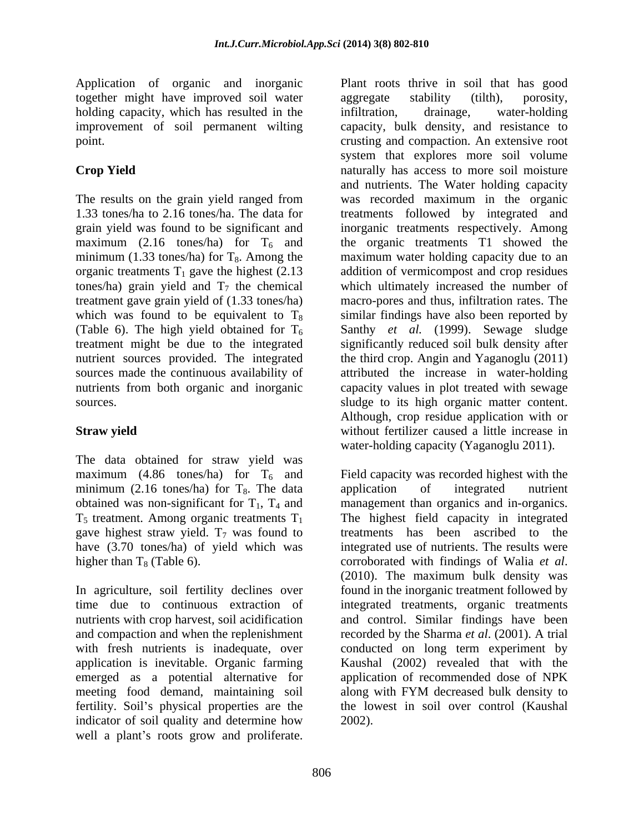Application of organic and inorganic together might have improved soil water aggregate stability (tilth), porosity, holding capacity, which has resulted in the infiltration, drainage, water-holding

minimum (1.33 tones/ha) for  $T_8$ . Among the organic treatments  $T_1$  gave the highest (2.13) tones/ha) grain yield and  $T_7$  the chemical

The data obtained for straw yield was maximum (4.86 tones/ha) for  $T_6$  and minimum (2.16 tones/ha) for  $T_8$ . The data application of integrated nutrient obtained was non-significant for  $T_1$ ,  $T_4$  and management than organics and in-organics. gave highest straw yield.  $T_7$  was found to have (3.70 tones/ha) of yield which was higher than  $T_8$  (Table 6). corroborated with findings of Walia *et al.* 

with fresh nutrients is inadequate, over conducted on long term experiment by application is inevitable. Organic farming indicator of soil quality and determine how well a plant's roots grow and proliferate.

improvement of soil permanent wilting capacity, bulk density, and resistance to point. crusting and compaction. An extensive root **Crop Yield Crop Yield naturally** has access to more soil moisture The results on the grain yield ranged from was recorded maximum in the organic 1.33 tones/ha to 2.16 tones/ha. The data for treatments followed by integrated and grain yield was found to be significant and inorganic treatments respectively. Among maximum (2.16 tones/ha) for  $T_6$  and the organic treatments T1 showed the treatment gave grain yield of (1.33 tones/ha) macro-pores and thus, infiltration rates. The which was found to be equivalent to  $T_8$  similar findings have also been reported by (Table 6). The high yield obtained for  $T_6$  Santhy *et al.* (1999). Sewage sludge treatment might be due to the integrated significantly reduced soil bulk density after nutrient sources provided. The integrated the third crop. Angin and Yaganoglu (2011) sources made the continuous availability of attributed the increase in water-holding nutrients from both organic and inorganic capacity values in plot treated with sewage sources. Sludge to its high organic matter content. **Straw yield Straw yield without fertilizer caused a little increase in** Plant roots thrive in soil that has good aggregate stability (tilth), porosity, infiltration, drainage, water-holding system that explores more soil volume and nutrients. The Water holding capacity maximum water holding capacity due to an addition of vermicompost and crop residues which ultimately increased the number of Although, crop residue application with or water-holding capacity (Yaganoglu 2011).

obtained was non-significant for  $T_1$ ,  $T_4$  and management than organics and in-organics.  $T_5$  treatment. Among organic treatments  $T_1$  The highest field capacity in integrated In agriculture, soil fertility declines over found in the inorganic treatment followed by time due to continuous extraction of integrated treatments, organic treatments nutrients with crop harvest, soil acidification and control. Similar findings have been and compaction and when the replenishment recorded by the Sharma *et al*. (2001). A trial emerged as a potential alternative for application of recommended dose of NPK meeting food demand, maintaining soil along with FYM decreased bulk density to fertility. Soil's physical properties are the the lowest in soil over control (Kaushal Field capacity was recorded highest with the application of integrated nutrient treatments has been ascribed to the integrated use of nutrients. The results were corroborated with findings of Walia *et al*. (2010). The maximum bulk density was conducted on long term experiment by Kaushal (2002) revealed that with the 2002).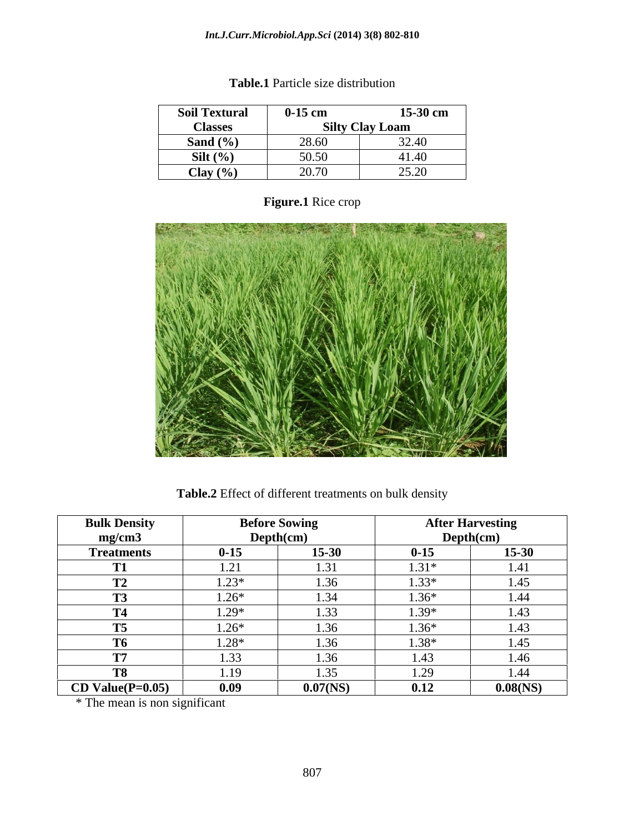## *Int.J.Curr.Microbiol.App.Sci* **(2014) 3(8) 802-810**

| <b>Soil Textural</b>                | $0-15$ cm | 15-30 cm               |
|-------------------------------------|-----------|------------------------|
| <b>Classes</b>                      |           | <b>Silty Clay Loam</b> |
| Sand $(\% )$                        | 28.60     | 32.40                  |
| Silt $(\%)$                         | 50.50     | 41.40                  |
| Clay $(\% )$<br>$\bullet$ $\bullet$ | 20.70     | 25.20                  |

# **Table.1** Particle size distribution

**Figure.1** Rice crop

**Table.2** Effect of different treatments on bulk density

| <b>Bulk Density</b><br>mg/cm3 |          | <b>Before Sowing</b><br>Depth(cm) |          | <b>After Harvesting</b><br>Depth(cm) |
|-------------------------------|----------|-----------------------------------|----------|--------------------------------------|
| <b>Treatments</b>             | $0 - 15$ | 15-30                             | $0 - 15$ | $15 - 30$                            |
| T <sub>1</sub>                | 1.21     | 1.31                              | $1.31*$  | 1.41                                 |
| <b>TM</b><br>$\mathbf{L}$     | $1.23*$  | 1.36                              | $1.33*$  | 1.45                                 |
|                               | $1.26*$  | 1.34                              | $1.36*$  | 1.44                                 |
| <b>CONTRACTOR</b><br>14       | $1.29*$  | 1.33                              | $1.39*$  | 1.43                                 |
| <b>T5</b>                     | $1.26*$  | 1.36                              | $1.36*$  | 1.43                                 |
| <b>T6</b>                     | $1.28*$  | 1.36                              | $1.38*$  | 1.45                                 |
| <b>CONTINUE</b>               | 1.33     | 1.36                              | 1.43     | 1.46                                 |
| T <sub>8</sub>                | 1.19     | 1.35                              | 1.29     | 1.44                                 |
| $CD Value(P=0.05)$            | 0.09     | $0.07$ (NS)                       | 0.12     | $0.08$ (NS)                          |

\* The mean is non significant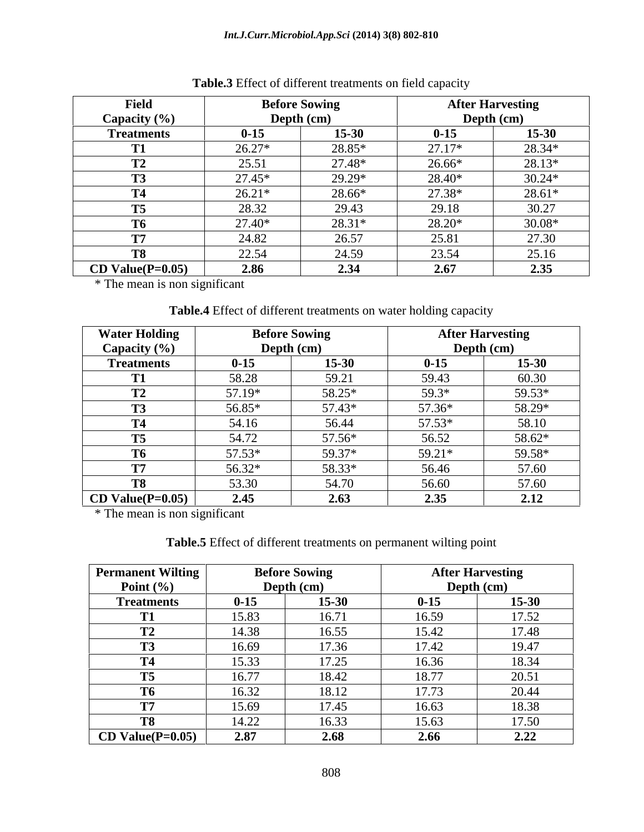| <b>Field</b>       |            | <b>Before Sowing</b> |          | <b>After Harvesting</b> |
|--------------------|------------|----------------------|----------|-------------------------|
| Capacity (%)       | Depth (cm) |                      |          | Depth (cm)              |
| <b>Treatments</b>  | $0 - 15$   | $15 - 30$            | $0 - 15$ | 15-30                   |
|                    | 26.27*     | 28.85*               | $27.17*$ | 28.34*                  |
| ▪                  | 25.51      | 27.48*               | 26.66*   | 28.13*                  |
|                    | 27.45*     | 29.29*               | 28.40*   | $30.24*$                |
|                    | $26.21*$   | 28.66*               | 27.38*   | $28.61*$                |
| .<br>15            | 28.32      | 29.43                | 29.18    | 30.27                   |
| m.<br>10           | 27.40*     | 28.31*               | 28.20*   | $30.08*$                |
|                    | 24.82      | 26.57                | 25.81    | 27.30                   |
|                    | 22.54      | 24.59                | 23.54    | 25.16                   |
| $CD Value(P=0.05)$ | 2.86       | 2.34                 | 2.67     | 2.35                    |

**Table.3** Effect of different treatments on field capacity

\* The mean is non significant

**Table.4** Effect of different treatments on water holding capacity

| <b>Water Holding</b>     |            | <b>Before Sowing</b> |          | <b>After Harvesting</b> |
|--------------------------|------------|----------------------|----------|-------------------------|
| Capacity $(\% )$         | Depth (cm) |                      |          | Depth (cm)              |
| <b>Treatments</b>        | $0 - 15$   | $15 - 30$            | $0 - 15$ | 15-30                   |
| .                        | 58.28      | 59.21                | 59.43    | 60.30                   |
| <b>TM</b><br>$\perp$     | 57.19*     | 58.25*               | 59.3*    | 59.53*                  |
| T <sub>2</sub><br>1.J    | 56.85*     | 57.43*               | 57.36*   | 58.29*                  |
| <b>T4</b>                | 54.16      | 56.44                | 57.53*   | 58.10                   |
| T <sub>5</sub>           | 54.72      | 57.56*               | 56.52    | 58.62*                  |
| <b>T6</b>                | 57.53*     | 59.37*               | $59.21*$ | 59.58*                  |
| <b>TD5</b>               | 56.32*     | 58.33*               | 56.46    | 57.60                   |
| T <sub>8</sub>           | 53.30      | 54.70                | 56.60    | 57.60                   |
| $\vert$ CD Value(P=0.05) | 2.45       | 2.63                 | 2.35     | 2.12                    |

\* The mean is non significant

**Table.5** Effect of different treatments on permanent wilting point

| <b>Permanent Wilting</b> |          | <b>Before Sowing</b> |          | <b>After Harvesting</b> |
|--------------------------|----------|----------------------|----------|-------------------------|
| Point $(\% )$            |          | Depth (cm)           |          | Depth (cm)              |
| <b>Treatments</b>        | $0 - 15$ | 15-30                | $0 - 15$ | $15 - 30$               |
| m                        | 15.83    | 16.71                | 16.59    | 17.52                   |
| <b>TIM</b><br>▪          | 14.38    | 16.55                | 15.42    | 17.48                   |
| <b>TM</b><br>19          | 16.69    | 17.36                | 17.42    | 19.47                   |
| m                        | 15.33    | 17.25                | 16.36    | 18.34                   |
| <b>T5</b>                | 16.77    | 18.42                | 18.77    | 20.51                   |
| <b>T6</b>                | 16.32    | 18.12                | 17.73    | 20.44                   |
| <b>THE</b>               | 15.69    | 17.45                | 16.63    | 18.38                   |
| <b>T8</b>                | 14.22    | 16.33                | 15.63    | 17.50                   |
| $CD Value(P=0.05)$       | 2.87     | 2.68                 | 2.66     | 2.22                    |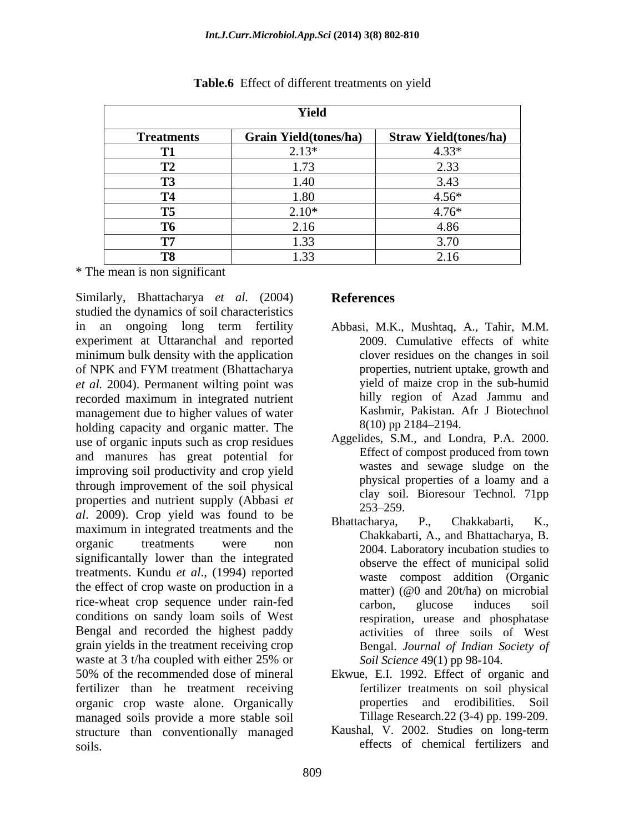|                   | Yield                        |                               |
|-------------------|------------------------------|-------------------------------|
| <b>Treatments</b> | <b>Grain Yield(tones/ha)</b> | <b>Straw Yield (tones/ha)</b> |
| T1                | $2.13*$                      | $4.33*$                       |
| <b>TM</b><br>▪    | 1.73                         | 2.33                          |
| T <sup>2</sup>    | 1.40                         | 3.43                          |
| <b>T4</b>         | 1.80                         | $4.56*$                       |
| <b>T5</b>         | $2.10*$                      | $4.76*$                       |
| <b>T6</b>         | 2.16                         | 4.86                          |
| <b>CONTINUE</b>   | 1.33                         | 3.70                          |
| T <sub>8</sub>    | 1.33                         | 2.16                          |

**Table.6** Effect of different treatments on yield

\* The mean is non significant

Similarly, Bhattacharya *et al.* (2004) studied the dynamics of soil characteristics in an ongoing long term fertility Abbasi, M.K., Mushtaq, A., Tahir, M.M. experiment at Uttaranchal and reported minimum bulk density with the application of NPK and FYM treatment (Bhattacharya *et al.* 2004). Permanent wilting point was recorded maximum in integrated nutrient management due to higher values of water<br>holding canacity and organic matter. The  $8(10)$  pp 2184–2194. holding capacity and organic matter. The use of organic inputs such as crop residues and manures has great potential for improving soil productivity and crop yield through improvement of the soil physical properties and nutrient supply (Abbasi *et* <sup>clay</sup> solid *al*. 2009). Crop yield was found to be  $\frac{235-259}{8}$ . P., Chakkabarti, K., maximum in integrated treatments and the organic treatments were non  $2004$  I aboratory incubation studies to significantally lower than the integrated treatments. Kundu *et al*., (1994) reported the effect of crop waste on production in a rice-wheat crop sequence under rain-fed carbon, glucose induces soil conditions on sandy loam soils of West Bengal and recorded the highest paddy grain yields in the treatment receiving crop waste at 3 t/ha coupled with either 25% or Soil Science 49(1) pp 98-104. 50% of the recommended dose of mineral Ekwue, E.I. 1992. Effect of organic and fertilizer than he treatment receiving organic crop waste alone. Organically managed soils provide a more stable soil structure than conventionally managed soils. **Exercise Solution** effects of chemical fertilizers and

## **References**

- 2009. Cumulative effects of white clover residues on the changes in soil properties, nutrient uptake, growth and yield of maize crop in the sub-humid hilly region of Azad Jammu and Kashmir, Pakistan. Afr J Biotechnol 8(10) pp 2184–2194.
- Aggelides, S.M., and Londra, P.A. 2000. Effect of compost produced from town wastes and sewage sludge on the physical properties of a loamy and a clay soil. Bioresour Technol. 71pp 253 259.
- Bhattacharya, P., Chakkabarti, K., Chakkabarti, A., and Bhattacharya, B. 2004. Laboratory incubation studies to observe the effect of municipal solid waste compost addition (Organic matter) (@0 and 20t/ha) on microbial carbon, glucose induces soil respiration, urease and phosphatase activities of three soils of West Bengal. *Journal of Indian Society of Soil Science* 49(1) pp 98-104.
- fertilizer treatments on soil physical properties and erodibilities. Soil Tillage Research.22 (3-4) pp. 199-209.
- Kaushal, V. 2002. Studies on long-term